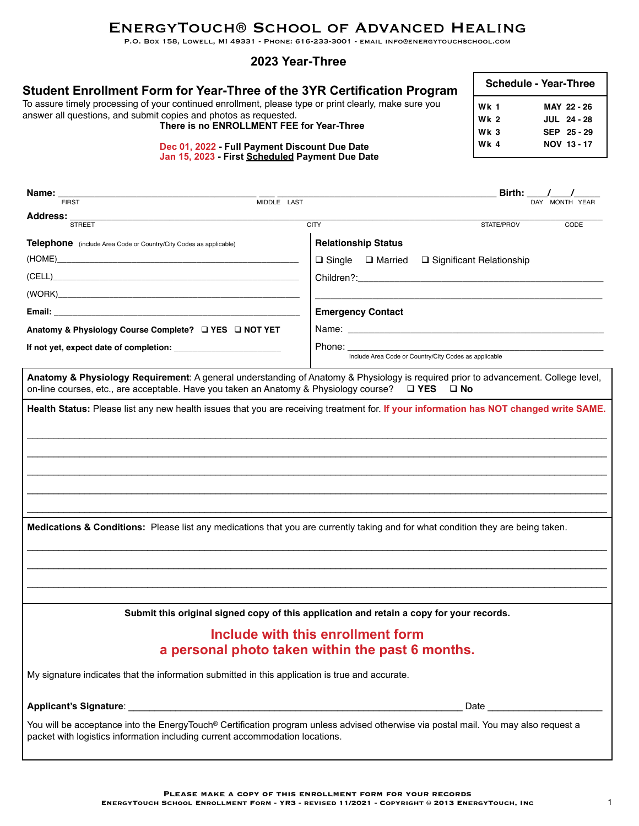# EnergyTouch® School of Advanced Healing

P.O. Box 158, Lowell, MI 49331 - Phone: 616-233-3001 - email info@energytouchschool.com

### **2023 Year-Three**

| Student Enrollment Form for Year-Three of the 3YR Certification Program<br>To assure timely processing of your continued enrollment, please type or print clearly, make sure you<br>answer all questions, and submit copies and photos as requested.<br>There is no ENROLLMENT FEE for Year-Three | <b>Schedule - Year-Three</b>                  |                                                |
|---------------------------------------------------------------------------------------------------------------------------------------------------------------------------------------------------------------------------------------------------------------------------------------------------|-----------------------------------------------|------------------------------------------------|
|                                                                                                                                                                                                                                                                                                   | <b>Wk 1</b><br><b>Wk 2</b><br>Wk <sub>3</sub> | MAY 22 - 26<br><b>JUL 24 - 28</b><br>SEP 25-29 |
| Dec 01, 2022 - Full Payment Discount Due Date<br>Jan 15, 2023 - First Scheduled Payment Due Date                                                                                                                                                                                                  | <b>Wk 4</b>                                   | NOV 13 - 17                                    |

|                                                                                                                                                                                                                                           |                                                                                                                                                                                                                                | Birth: $\_\_\_\_\_\$                                                                                                                                                                                                           |                |
|-------------------------------------------------------------------------------------------------------------------------------------------------------------------------------------------------------------------------------------------|--------------------------------------------------------------------------------------------------------------------------------------------------------------------------------------------------------------------------------|--------------------------------------------------------------------------------------------------------------------------------------------------------------------------------------------------------------------------------|----------------|
| Name: $\frac{1}{\text{FIRST}}$                                                                                                                                                                                                            | MIDDLE LAST                                                                                                                                                                                                                    |                                                                                                                                                                                                                                | DAY MONTH YEAR |
| Address:<br><b>STREET</b>                                                                                                                                                                                                                 | <b>CITY</b>                                                                                                                                                                                                                    | STATE/PROV                                                                                                                                                                                                                     | CODE           |
| <b>Telephone</b> (include Area Code or Country/City Codes as applicable)                                                                                                                                                                  | <b>Relationship Status</b>                                                                                                                                                                                                     |                                                                                                                                                                                                                                |                |
|                                                                                                                                                                                                                                           |                                                                                                                                                                                                                                | $\Box$ Single $\Box$ Married $\Box$ Significant Relationship                                                                                                                                                                   |                |
| (CELL)                                                                                                                                                                                                                                    |                                                                                                                                                                                                                                | Children?: the contract of the contract of the contract of the contract of the contract of the contract of the contract of the contract of the contract of the contract of the contract of the contract of the contract of the |                |
| (WORK) <b>Example 2008 CONTROL</b>                                                                                                                                                                                                        |                                                                                                                                                                                                                                |                                                                                                                                                                                                                                |                |
|                                                                                                                                                                                                                                           | <b>Emergency Contact</b>                                                                                                                                                                                                       |                                                                                                                                                                                                                                |                |
| Anatomy & Physiology Course Complete?<br><u> </u> <b>IVES</b><br>INOT YET                                                                                                                                                                 |                                                                                                                                                                                                                                | Name: Name: Name: Name: Name: Name: Name: Name: Name: Name: Name: Name: Name: Name: Name: Name: Name: Name: Name: Name: Name: Name: Name: Name: Name: Name: Name: Name: Name: Name: Name: Name: Name: Name: Name: Name: Name:  |                |
|                                                                                                                                                                                                                                           | Phone: the contract of the contract of the contract of the contract of the contract of the contract of the contract of the contract of the contract of the contract of the contract of the contract of the contract of the con | Include Area Code or Country/City Codes as applicable                                                                                                                                                                          |                |
| Anatomy & Physiology Requirement: A general understanding of Anatomy & Physiology is required prior to advancement. College level,<br>on-line courses, etc., are acceptable. Have you taken an Anatomy & Physiology course? $\square$ YES |                                                                                                                                                                                                                                | $\square$ No                                                                                                                                                                                                                   |                |
| Health Status: Please list any new health issues that you are receiving treatment for. If your information has NOT changed write SAME.                                                                                                    |                                                                                                                                                                                                                                |                                                                                                                                                                                                                                |                |
|                                                                                                                                                                                                                                           |                                                                                                                                                                                                                                |                                                                                                                                                                                                                                |                |
|                                                                                                                                                                                                                                           |                                                                                                                                                                                                                                |                                                                                                                                                                                                                                |                |
|                                                                                                                                                                                                                                           |                                                                                                                                                                                                                                |                                                                                                                                                                                                                                |                |
|                                                                                                                                                                                                                                           |                                                                                                                                                                                                                                |                                                                                                                                                                                                                                |                |
|                                                                                                                                                                                                                                           |                                                                                                                                                                                                                                |                                                                                                                                                                                                                                |                |
|                                                                                                                                                                                                                                           |                                                                                                                                                                                                                                |                                                                                                                                                                                                                                |                |
| Medications & Conditions: Please list any medications that you are currently taking and for what condition they are being taken.                                                                                                          |                                                                                                                                                                                                                                |                                                                                                                                                                                                                                |                |
|                                                                                                                                                                                                                                           |                                                                                                                                                                                                                                |                                                                                                                                                                                                                                |                |
|                                                                                                                                                                                                                                           |                                                                                                                                                                                                                                |                                                                                                                                                                                                                                |                |
|                                                                                                                                                                                                                                           |                                                                                                                                                                                                                                |                                                                                                                                                                                                                                |                |
|                                                                                                                                                                                                                                           | Submit this original signed copy of this application and retain a copy for your records.                                                                                                                                       |                                                                                                                                                                                                                                |                |
|                                                                                                                                                                                                                                           | Include with this enrollment form                                                                                                                                                                                              |                                                                                                                                                                                                                                |                |
|                                                                                                                                                                                                                                           | a personal photo taken within the past 6 months.                                                                                                                                                                               |                                                                                                                                                                                                                                |                |
| My signature indicates that the information submitted in this application is true and accurate.                                                                                                                                           |                                                                                                                                                                                                                                |                                                                                                                                                                                                                                |                |
|                                                                                                                                                                                                                                           |                                                                                                                                                                                                                                |                                                                                                                                                                                                                                |                |
| You will be acceptance into the EnergyTouch® Certification program unless advised otherwise via postal mail. You may also request a<br>packet with logistics information including current accommodation locations.                       |                                                                                                                                                                                                                                |                                                                                                                                                                                                                                |                |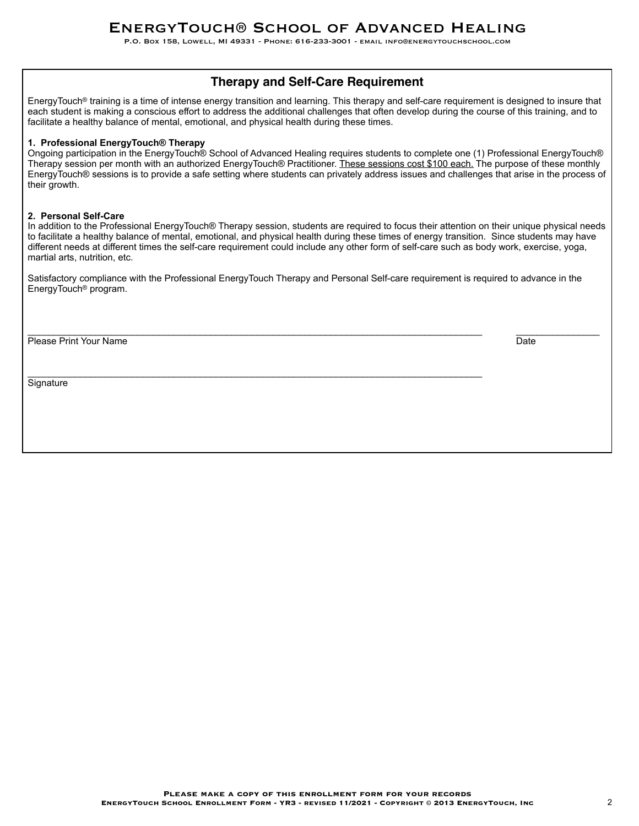P.O. Box 158, Lowell, MI 49331 - Phone: 616-233-3001 - email info@energytouchschool.com

# **Therapy and Self-Care Requirement**

EnergyTouch® training is a time of intense energy transition and learning. This therapy and self-care requirement is designed to insure that each student is making a conscious effort to address the additional challenges that often develop during the course of this training, and to facilitate a healthy balance of mental, emotional, and physical health during these times.

#### **1. Professional EnergyTouch® Therapy**

Ongoing participation in the EnergyTouch® School of Advanced Healing requires students to complete one (1) Professional EnergyTouch® Therapy session per month with an authorized EnergyTouch® Practitioner. These sessions cost \$100 each. The purpose of these monthly EnergyTouch® sessions is to provide a safe setting where students can privately address issues and challenges that arise in the process of their growth.

#### **2. Personal Self-Care**

In addition to the Professional EnergyTouch® Therapy session, students are required to focus their attention on their unique physical needs to facilitate a healthy balance of mental, emotional, and physical health during these times of energy transition. Since students may have different needs at different times the self-care requirement could include any other form of self-care such as body work, exercise, yoga, martial arts, nutrition, etc.

Satisfactory compliance with the Professional EnergyTouch Therapy and Personal Self-care requirement is required to advance in the EnergyTouch® program.

\_\_\_\_\_\_\_\_\_\_\_\_\_\_\_\_\_\_\_\_\_\_\_\_\_\_\_\_\_\_\_\_\_\_\_\_\_\_\_\_\_\_\_\_\_\_\_\_\_\_\_\_\_\_\_\_\_\_\_\_\_\_\_\_\_\_\_\_\_\_\_\_\_\_\_\_\_\_\_\_\_\_\_\_\_\_\_ \_\_\_\_\_\_\_\_\_\_\_\_\_\_\_\_

 $\mathcal{L}_\mathcal{L} = \{ \mathcal{L}_\mathcal{L} = \{ \mathcal{L}_\mathcal{L} = \{ \mathcal{L}_\mathcal{L} = \{ \mathcal{L}_\mathcal{L} = \{ \mathcal{L}_\mathcal{L} = \{ \mathcal{L}_\mathcal{L} = \{ \mathcal{L}_\mathcal{L} = \{ \mathcal{L}_\mathcal{L} = \{ \mathcal{L}_\mathcal{L} = \{ \mathcal{L}_\mathcal{L} = \{ \mathcal{L}_\mathcal{L} = \{ \mathcal{L}_\mathcal{L} = \{ \mathcal{L}_\mathcal{L} = \{ \mathcal{L}_\mathcal{$ 

Please Print Your Name Date New York New York New York New York New York New York New York New York New York New York New York New York New York New York New York New York New York New York New York New York New York New Y

**Signature**